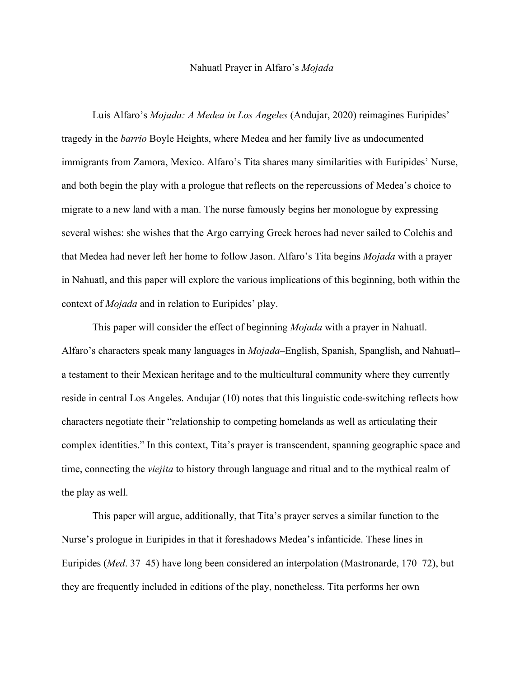## Nahuatl Prayer in Alfaro's *Mojada*

Luis Alfaro's *Mojada: A Medea in Los Angeles* (Andujar, 2020) reimagines Euripides' tragedy in the *barrio* Boyle Heights, where Medea and her family live as undocumented immigrants from Zamora, Mexico. Alfaro's Tita shares many similarities with Euripides' Nurse, and both begin the play with a prologue that reflects on the repercussions of Medea's choice to migrate to a new land with a man. The nurse famously begins her monologue by expressing several wishes: she wishes that the Argo carrying Greek heroes had never sailed to Colchis and that Medea had never left her home to follow Jason. Alfaro's Tita begins *Mojada* with a prayer in Nahuatl, and this paper will explore the various implications of this beginning, both within the context of *Mojada* and in relation to Euripides' play.

This paper will consider the effect of beginning *Mojada* with a prayer in Nahuatl. Alfaro's characters speak many languages in *Mojada*–English, Spanish, Spanglish, and Nahuatl– a testament to their Mexican heritage and to the multicultural community where they currently reside in central Los Angeles. Andujar (10) notes that this linguistic code-switching reflects how characters negotiate their "relationship to competing homelands as well as articulating their complex identities." In this context, Tita's prayer is transcendent, spanning geographic space and time, connecting the *viejita* to history through language and ritual and to the mythical realm of the play as well.

This paper will argue, additionally, that Tita's prayer serves a similar function to the Nurse's prologue in Euripides in that it foreshadows Medea's infanticide. These lines in Euripides (*Med*. 37–45) have long been considered an interpolation (Mastronarde, 170–72), but they are frequently included in editions of the play, nonetheless. Tita performs her own